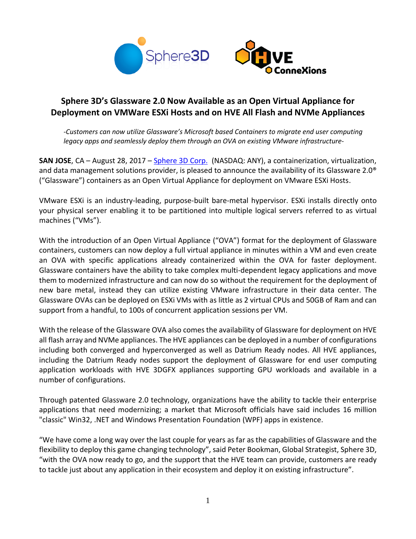

## **Sphere 3D's Glassware 2.0 Now Available as an Open Virtual Appliance for Deployment on VMWare ESXi Hosts and on HVE All Flash and NVMe Appliances**

*-Customers can now utilize Glassware's Microsoft based Containers to migrate end user computing legacy apps and seamlessly deploy them through an OVA on existing VMware infrastructure*-

**SAN JOSE**, CA – August 28, 2017 – [Sphere 3D Corp.](http://www.sphere3d.com/) (NASDAQ: ANY), a containerization, virtualization, and data management solutions provider, is pleased to announce the availability of its Glassware 2.0<sup>®</sup> ("Glassware") containers as an Open Virtual Appliance for deployment on VMware ESXi Hosts.

VMware ESXi is an industry-leading, purpose-built bare-metal hypervisor. ESXi installs directly onto your physical server enabling it to be partitioned into multiple logical servers referred to as virtual machines ("VMs").

With the introduction of an Open Virtual Appliance ("OVA") format for the deployment of Glassware containers, customers can now deploy a full virtual appliance in minutes within a VM and even create an OVA with specific applications already containerized within the OVA for faster deployment. Glassware containers have the ability to take complex multi-dependent legacy applications and move them to modernized infrastructure and can now do so without the requirement for the deployment of new bare metal, instead they can utilize existing VMware infrastructure in their data center. The Glassware OVAs can be deployed on ESXi VMs with as little as 2 virtual CPUs and 50GB of Ram and can support from a handful, to 100s of concurrent application sessions per VM.

With the release of the Glassware OVA also comes the availability of Glassware for deployment on HVE all flash array and NVMe appliances. The HVE appliances can be deployed in a number of configurations including both converged and hyperconverged as well as Datrium Ready nodes. All HVE appliances, including the Datrium Ready nodes support the deployment of Glassware for end user computing application workloads with HVE 3DGFX appliances supporting GPU workloads and available in a number of configurations.

Through patented Glassware 2.0 technology, organizations have the ability to tackle their enterprise applications that need modernizing; a market that Microsoft officials have said includes 16 million "classic" Win32, .NET and Windows Presentation Foundation (WPF) apps in existence.

"We have come a long way over the last couple for years as far as the capabilities of Glassware and the flexibility to deploy this game changing technology", said Peter Bookman, Global Strategist, Sphere 3D, "with the OVA now ready to go, and the support that the HVE team can provide, customers are ready to tackle just about any application in their ecosystem and deploy it on existing infrastructure".